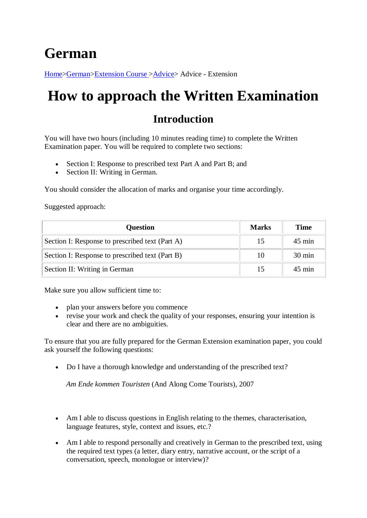## **German**

[Home>](http://www.hsc.csu.edu.au/)[German](http://www.hsc.csu.edu.au/german/)[>Extension Course >](http://www.hsc.csu.edu.au/german/#112077)[Advice>](http://www.hsc.csu.edu.au/german/extension/advice/) Advice - Extension

## **How to approach the Written Examination**

## **Introduction**

You will have two hours (including 10 minutes reading time) to complete the Written Examination paper. You will be required to complete two sections:

- Section I: Response to prescribed text Part A and Part B; and
- Section II: Writing in German.

You should consider the allocation of marks and organise your time accordingly.

Suggested approach:

| <b>Question</b>                                 | <b>Marks</b> | <b>Time</b>      |
|-------------------------------------------------|--------------|------------------|
| Section I: Response to prescribed text (Part A) | 15           | $45 \text{ min}$ |
| Section I: Response to prescribed text (Part B) | 10           | $30 \text{ min}$ |
| Section II: Writing in German                   | 15           | $45 \text{ min}$ |

Make sure you allow sufficient time to:

- plan your answers before you commence
- revise your work and check the quality of your responses, ensuring your intention is clear and there are no ambiguities.

To ensure that you are fully prepared for the German Extension examination paper, you could ask yourself the following questions:

• Do I have a thorough knowledge and understanding of the prescribed text?

*Am Ende kommen Touristen* (And Along Come Tourists), 2007

- Am I able to discuss questions in English relating to the themes, characterisation, language features, style, context and issues, etc.?
- Am I able to respond personally and creatively in German to the prescribed text, using the required text types (a letter, diary entry, narrative account, or the script of a conversation, speech, monologue or interview)?